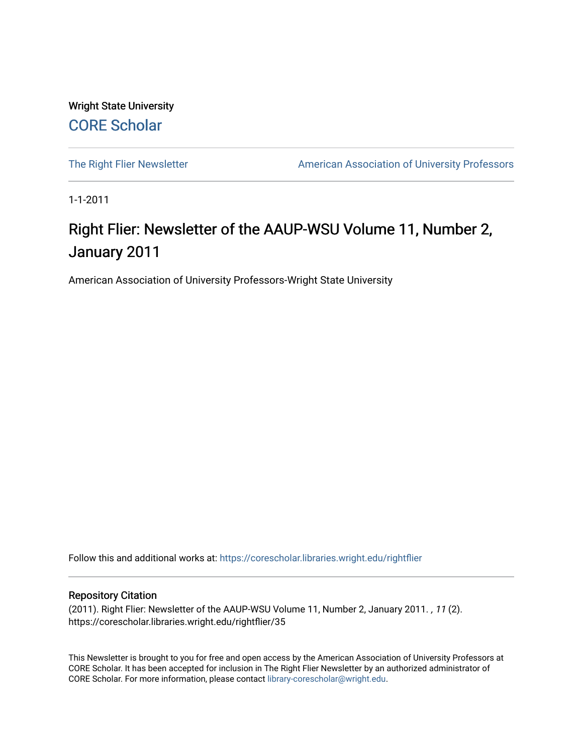Wright State University [CORE Scholar](https://corescholar.libraries.wright.edu/)

[The Right Flier Newsletter](https://corescholar.libraries.wright.edu/rightflier) **American Association of University Professors** 

1-1-2011

# Right Flier: Newsletter of the AAUP-WSU Volume 11, Number 2, January 2011

American Association of University Professors-Wright State University

Follow this and additional works at: [https://corescholar.libraries.wright.edu/rightflier](https://corescholar.libraries.wright.edu/rightflier?utm_source=corescholar.libraries.wright.edu%2Frightflier%2F35&utm_medium=PDF&utm_campaign=PDFCoverPages) 

#### Repository Citation

(2011). Right Flier: Newsletter of the AAUP-WSU Volume 11, Number 2, January 2011. , 11 (2). https://corescholar.libraries.wright.edu/rightflier/35

This Newsletter is brought to you for free and open access by the American Association of University Professors at CORE Scholar. It has been accepted for inclusion in The Right Flier Newsletter by an authorized administrator of CORE Scholar. For more information, please contact [library-corescholar@wright.edu](mailto:library-corescholar@wright.edu).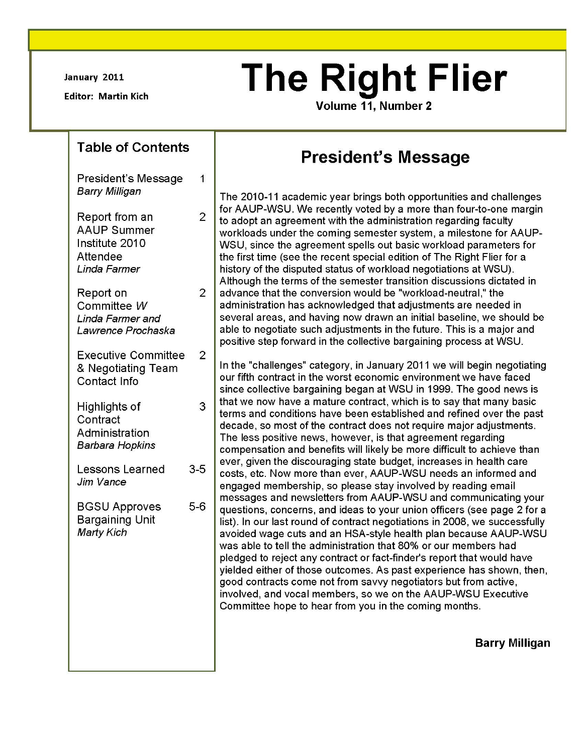January 2011

Editor: Martin Kich

# **The Right Flier**

**Volume 11, Number 2** 

# **Table of Contents**

President's Message Barry Milligan

1

2

2

2

3

| Report from an     |
|--------------------|
| <b>AAUP Summer</b> |
| Institute 2010     |
| Attendee           |
| Linda Farmer       |
|                    |

Report on Committee *W*  Linda Farmer and Lawrence Prochaska

Executive Committee & Negotiating Team Contact Info

Highlights of **Contract** Administration Barbara Hopkins

Lessons Learned 3-5 Jim Vance

BGSU Approves 5-6 Bargaining Unit Marty Kich

# **President's Message**

The 2010-11 academic year brings both opportunities and challenges for AAUP-WSU. We recently voted by a more than four-to-one margin to adopt an agreement with the administration regarding faculty workloads under the coming semester system, a milestone for AAUP-WSU, since the agreement spells out basic workload parameters for the first time (see the recent special edition of The Right Flier for a history of the disputed status of workload negotiations at WSU). Although the terms of the semester transition discussions dictated in advance that the conversion would be "workload-neutral," the administration has acknowledged that adjustments are needed in several areas, and having now drawn an initial baseline, we should be able to negotiate such adjustments in the future. This is a major and positive step forward in the collective bargaining process at WSU.

In the "challenges" category, in January 2011 we will begin negotiating our fifth contract in the worst economic environment we have faced since collective bargaining began at WSU in 1999. The good news is that we now have a mature contract, which is to say that many basic terms and conditions have been established and refined over the past decade, so most of the contract does not require major adjustments. The less positive news, however, is that agreement regarding compensation and benefits will likely be more difficult to achieve than ever, given the discouraging state budget, increases in health care costs, etc. Now more than ever, AAUP-WSU needs an informed and engaged membership, so please stay involved by reading email messages and newsletters from AAUP-WSU and communicating your questions, concerns, and ideas to your union officers (see page 2 for a list). In our last round of contract negotiations in 2008, we successfully avoided wage cuts and an HSA-style health plan because AAUP-WSU was able to tell the administration that 80% or our members had pledged to reject any contract or fact-finder's report that would have yielded either of those outcomes. As past experience has shown, then, good contracts come not from savvy negotiators but from active, involved, and vocal members, so we on the AAUP-WSU Executive Committee hope to hear from you in the coming months.

**Barry Milligan**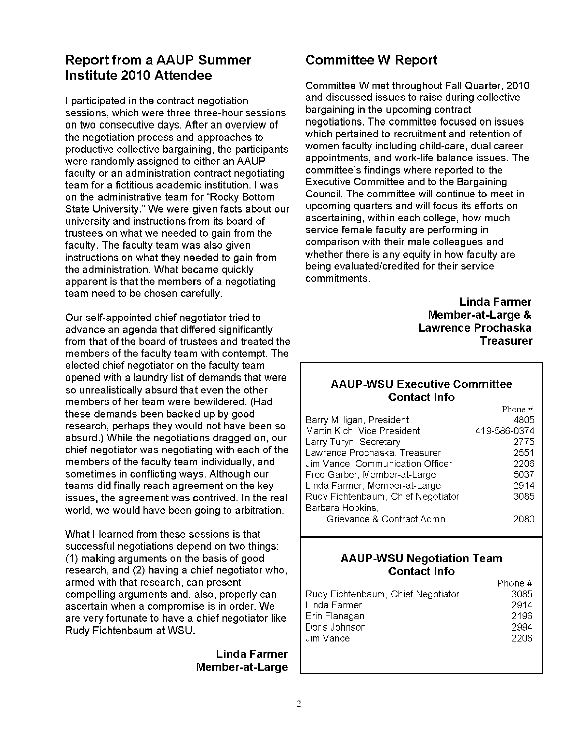# **Report from a AAUP Summer Institute 2010 Attendee**

I participated in the contract negotiation sessions, which were three three-hour sessions on two consecutive days. After an overview of the negotiation process and approaches to productive collective bargaining, the participants were randomly assigned to either an AAUP faculty or an administration contract negotiating team for a fictitious academic institution. I was on the administrative team for "Rocky Bottom State University." We were given facts about our university and instructions from its board of trustees on what we needed to gain from the faculty. The faculty team was also given instructions on what they needed to gain from the administration. What became quickly apparent is that the members of a negotiating team need to be chosen carefully.

Our self-appointed chief negotiator tried to advance an agenda that differed significantly from that of the board of trustees and treated the members of the faculty team with contempt. The elected chief negotiator on the faculty team opened with a laundry list of demands that were so unrealistically absurd that even the other members of her team were bewildered. (Had these demands been backed up by good research, perhaps they would not have been so absurd.) While the negotiations dragged on, our chief negotiator was negotiating with each of the members of the faculty team individually, and sometimes in conflicting ways. Although our teams did finally reach agreement on the key issues, the agreement was contrived. In the real world, we would have been going to arbitration.

What I learned from these sessions is that successful negotiations depend on two things: (1) making arguments on the basis of good research, and (2) having a chief negotiator who, armed with that research, can present compelling arguments and, also, properly can ascertain when a compromise is in order. We are very fortunate to have a chief negotiator like Rudy Fichtenbaum at WSU.

> **Linda Farmer Member-at-Large**

# **Committee W Report**

Committee W met throughout Fall Quarter, 2010 and discussed issues to raise during collective bargaining in the upcoming contract negotiations. The committee focused on issues which pertained to recruitment and retention of women faculty including child-care, dual career appointments, and work-life balance issues. The committee's findings where reported to the Executive Committee and to the Bargaining Council. The committee will continue to meet in upcoming quarters and will focus its efforts on ascertaining, within each college, how much service female faculty are performing in comparison with their male colleagues and whether there is any equity in how faculty are being evaluated/credited for their service commitments.

> **Linda Farmer Member-at-Large** & **Lawrence Prochaska Treasurer**

#### **AAUP-WSU Executive Committee Contact Info**  $D<sub>h</sub>$

|                                    | . <del>. .</del> |
|------------------------------------|------------------|
| Barry Milligan, President          | 4805             |
| Martin Kich, Vice President        | 419-586-0374     |
| Larry Turyn, Secretary             | 2775             |
| Lawrence Prochaska, Treasurer      | 2551             |
| Jim Vance, Communication Officer   | 2206             |
| Fred Garber, Member-at-Large       | 5037             |
| Linda Farmer, Member-at-Large      | 2914             |
| Rudy Fichtenbaum, Chief Negotiator | 3085             |
| Barbara Hopkins,                   |                  |
| Grievance & Contract Admn.         |                  |
|                                    |                  |

#### **AAUP-WSU Negotiation Team Contact Info**

|                                    | Phone # |
|------------------------------------|---------|
| Rudy Fichtenbaum, Chief Negotiator | 3085    |
| Linda Farmer                       | 2914    |
| Erin Flanagan                      | 2196    |
| Doris Johnson                      | 2994    |
| Jim Vance                          | 2206    |
|                                    |         |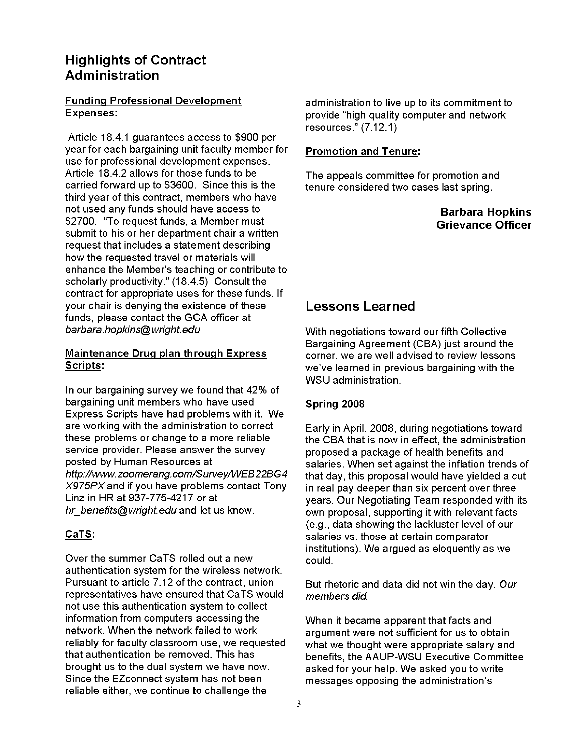## Highlights of Contract Administration

#### Funding Professional Development Expenses:

Article 18.4.1 guarantees access to \$900 per year for each bargaining unit faculty member for use for professional development expenses. Article 18.4.2 allows for those funds to be carried forward up to \$3600. Since this is the third year of this contract, members who have not used any funds should have access to \$2700. "To request funds, a Member must submit to his or her department chair a written request that includes a statement describing how the requested travel or materials will enhance the Member's teaching or contribute to scholarly productivity." (18.4.5) Consult the contract for appropriate uses for these funds. If your chair is denying the existence of these funds, please contact the GCA officer at barbara. hopkins@ wright. edu

#### Maintenance Drug plan through Express Scripts:

In our bargaining survey we found that 42% of bargaining unit members who have used Express Scripts have had problems with it. We are working with the administration to correct these problems or change to a more reliable service provider. Please answer the survey posted by Human Resources at http://www.zoomerang.com/Survey/WEB22BG4  $X975PX$  and if you have problems contact Tony Linz in HR at 937-775-4217 or at hr\_benefits@wright.edu and let us know.

#### CaTS:

Over the summer CaTS rolled out a new authentication system for the wireless network. Pursuant to article 7.12 of the contract, union representatives have ensured that CaTS would not use this authentication system to collect information from computers accessing the network. When the network failed to work reliably for faculty classroom use, we requested that authentication be removed. This has brought us to the dual system we have now. Since the EZconnect system has not been reliable either, we continue to challenge the

administration to live up to its commitment to provide "high quality computer and network resources." (7.12.1)

#### Promotion and Tenure:

The appeals committee for promotion and tenure considered two cases last spring.

> Barbara Hopkins Grievance Officer

# Lessons Learned

With negotiations toward our fifth Collective Bargaining Agreement (CBA) just around the corner, we are well advised to review lessons we've learned in previous bargaining with the WSU administration.

#### Spring 2008

Early in April, 2008, during negotiations toward the CBA that is now in effect, the administration proposed a package of health benefits and salaries. When set against the inflation trends of that day, this proposal would have yielded a cut in real pay deeper than six percent over three years. Our Negotiating Team responded with its own proposal, supporting it with relevant facts (e.g., data showing the lackluster level of our salaries vs. those at certain comparator institutions). We argued as eloquently as we could.

But rhetoric and data did not win the day. Our members did.

When it became apparent that facts and argument were not sufficient for us to obtain what we thought were appropriate salary and benefits, the AAUP-WSU Executive Committee asked for your help. We asked you to write messages opposing the administration's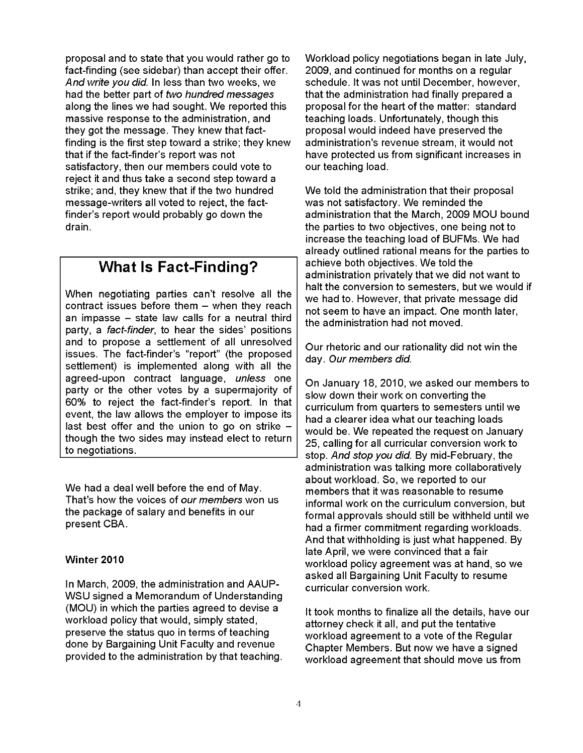proposal and to state that you would rather go to fact-finding (see sidebar) than accept their offer. And write you did. In less than two weeks, we had the better part of two hundred messages along the lines we had sought. We reported this massive response to the administration, and they got the message. They knew that factfinding is the first step toward a strike; they knew that if the fact-finder's report was not satisfactory, then our members could vote to reject it and thus take a second step toward a strike; and, they knew that if the two hundred message-writers all voted to reject, the factfinder's report would probably go down the drain.

# **What Is Fact-Finding?**

When negotiating parties can't resolve all the contract issues before them  $-$  when they reach an impasse  $-$  state law calls for a neutral third party, a fact-finder, to hear the sides' positions and to propose a settlement of all unresolved issues. The fact-finder's "report" (the proposed settlement) is implemented along with all the agreed-upon contract language, unless one party or the other votes by a supermajority of 60% to reject the fact-finder's report. In that event, the law allows the employer to impose its last best offer and the union to go on strike though the two sides may instead elect to return to negotiations.

We had a deal well before the end of May. That's how the voices of our members won us the package of salary and benefits in our present CBA.

#### **Winter 2010**

In March, 2009, the administration and AAUP-WSU signed a Memorandum of Understanding (MOU) in which the parties agreed to devise a workload policy that would, simply stated, preserve the status quo in terms of teaching done by Bargaining Unit Faculty and revenue provided to the administration by that teaching.

Workload policy negotiations began in late July, 2009, and continued for months on a regular schedule. It was not until December, however, that the administration had finally prepared a proposal for the heart of the matter: standard teaching loads. Unfortunately, though this proposal would indeed have preserved the administration's revenue stream, it would not have protected us from significant increases in our teaching load.

We told the administration that their proposal was not satisfactory. We reminded the administration that the March, 2009 MOU bound the parties to two objectives, one being not to increase the teaching load of BUFMs. We had already outlined rational means for the parties to achieve both objectives. We told the administration privately that we did not want to halt the conversion to semesters, but we would if we had to. However, that private message did not seem to have an impact. One month later, the administration had not moved.

Our rhetoric and our rationality did not win the day. Our members did.

On January 18, 2010, we asked our members to slow down their work on converting the curriculum from quarters to semesters until we had a clearer idea what our teaching loads would be. We repeated the request on January 25, calling for all curricular conversion work to stop. And stop you did. By mid-February, the administration was talking more collaboratively about workload. So, we reported to our members that it was reasonable to resume informal work on the curriculum conversion, but formal approvals should still be withheld until we had a firmer commitment regarding workloads. And that withholding is just what happened. By late April, we were convinced that a fair workload policy agreement was at hand, so we asked all Bargaining Unit Faculty to resume curricular conversion work.

It took months to finalize all the details, have our attorney check it all, and put the tentative workload agreement to a vote of the Regular Chapter Members. But now we have a signed workload agreement that should move us from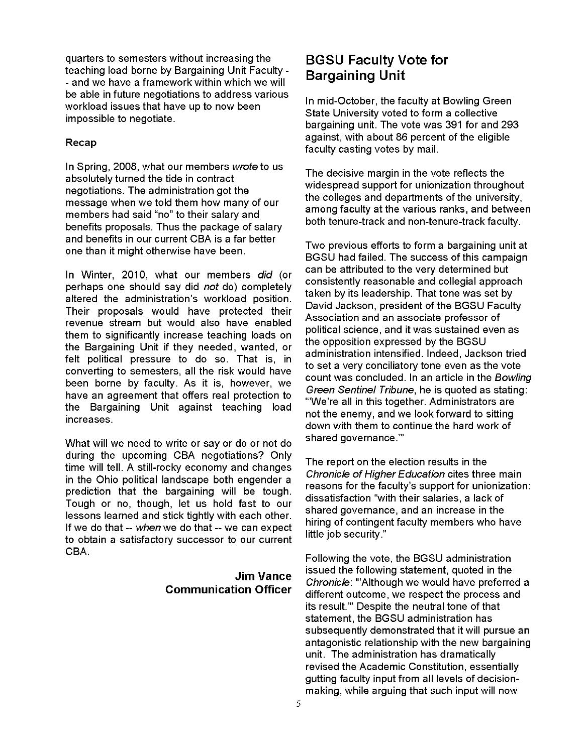quarters to semesters without increasing the teaching load borne by Bargaining Unit Faculty - and we have a framework within which we will be able in future negotiations to address various workload issues that have up to now been impossible to negotiate.

#### Recap

In Spring, 2008, what our members wrote to us absolutely turned the tide in contract negotiations. The administration got the message when we told them how many of our members had said "no" to their salary and benefits proposals. Thus the package of salary and benefits in our current CBA is a far better one than it might otherwise have been.

In Winter, 2010, what our members did (or perhaps one should say did not do) completely altered the administration's workload position. Their proposals would have protected their revenue stream but would also have enabled them to significantly increase teaching loads on the Bargaining Unit if they needed, wanted, or felt political pressure to do so. That is, in converting to semesters, all the risk would have been borne by faculty. As it is, however, we have an agreement that offers real protection to the Bargaining Unit against teaching load increases.

What will we need to write or say or do or not do during the upcoming CBA negotiations? Only time will tell. A still-rocky economy and changes in the Ohio political landscape both engender a prediction that the bargaining will be tough. Tough or no, though, let us hold fast to our lessons learned and stick tightly with each other. If we do that -- when we do that -- we can expect to obtain a satisfactory successor to our current CBA.

#### **Jim Vance Communication Officer**

# **BGSU Faculty Vote for Bargaining Unit**

In mid-October, the faculty at Bowling Green State University voted to form a collective bargaining unit. The vote was 391 for and 293 against, with about 86 percent of the eligible faculty casting votes by mail.

The decisive margin in the vote reflects the widespread support for unionization throughout the colleges and departments of the university, among faculty at the various ranks, and between both tenure-track and non-tenure-track faculty.

Two previous efforts to form a bargaining unit at BGSU had failed. The success of this campaign can be attributed to the very determined but consistently reasonable and collegial approach taken by its leadership. That tone was set by David Jackson, president of the BGSU Faculty Association and an associate professor of political science, and it was sustained even as the opposition expressed by the BGSU administration intensified. Indeed, Jackson tried to set a very conciliatory tone even as the vote count was concluded. In an article in the Bowling Green Sentinel Tribune, he is quoted as stating: "'We're all in this together. Administrators are not the enemy, and we look forward to sitting down with them to continue the hard work of shared governance."'

The report on the election results in the Chronicle of Higher Education cites three main reasons for the faculty's support for unionization: dissatisfaction "with their salaries, a lack of shared governance, and an increase in the hiring of contingent faculty members who have little job security."

Following the vote, the BGSU administration issued the following statement, quoted in the Chronicle: "'Although we would have preferred a different outcome, we respect the process and its result."' Despite the neutral tone of that statement, the BGSU administration has subsequently demonstrated that it will pursue an antagonistic relationship with the new bargaining umt. The administration has dramatically revised the Academic Constitution, essentially gutting faculty input from all levels of decisionmaking, while arguing that such input will now